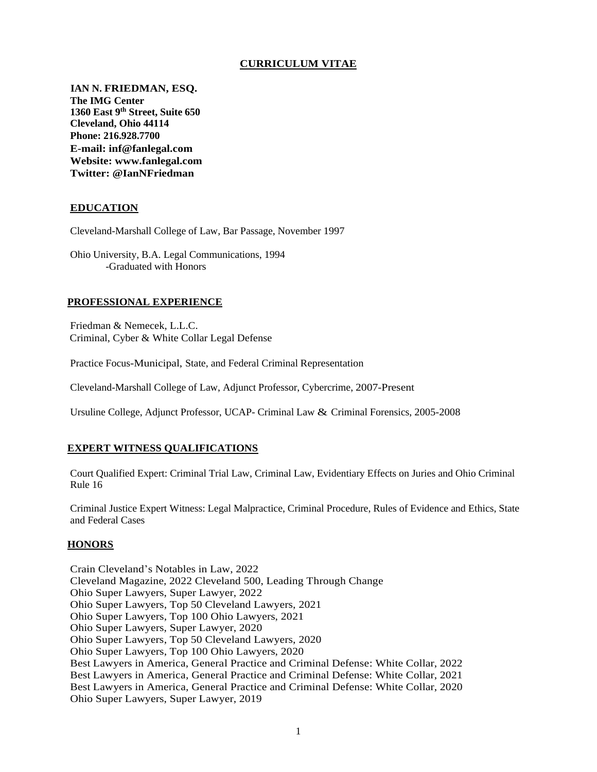## **CURRICULUM VITAE**

**IAN N. FRIEDMAN, ESQ. The IMG Center 1360 East 9th Street, Suite 650 Cleveland, Ohio 44114 Phone: 216.928.7700 E-mail: inf@fanlegal.com Website: www.fanlegal.com Twitter: @IanNFriedman**

## **EDUCATION**

Cleveland-Marshall College of Law, Bar Passage, November 1997

Ohio University, B.A. Legal Communications, 1994 -Graduated with Honors

#### **PROFESSIONAL EXPERIENCE**

Friedman & Nemecek, L.L.C. Criminal, Cyber & White Collar Legal Defense

Practice Focus-Municipal, State, and Federal Criminal Representation

Cleveland-Marshall College of Law, Adjunct Professor, Cybercrime, 2007-Present

Ursuline College, Adjunct Professor, UCAP- Criminal Law & Criminal Forensics, 2005-2008

#### **EXPERT WITNESS QUALIFICATIONS**

Court Qualified Expert: Criminal Trial Law, Criminal Law, Evidentiary Effects on Juries and Ohio Criminal Rule 16

Criminal Justice Expert Witness: Legal Malpractice, Criminal Procedure, Rules of Evidence and Ethics, State and Federal Cases

#### **HONORS**

Crain Cleveland's Notables in Law, 2022 Cleveland Magazine, 2022 Cleveland 500, Leading Through Change Ohio Super Lawyers, Super Lawyer, 2022 Ohio Super Lawyers, Top 50 Cleveland Lawyers, 2021 Ohio Super Lawyers, Top 100 Ohio Lawyers, 2021 Ohio Super Lawyers, Super Lawyer, 2020 Ohio Super Lawyers, Top 50 Cleveland Lawyers, 2020 Ohio Super Lawyers, Top 100 Ohio Lawyers, 2020 Best Lawyers in America, General Practice and Criminal Defense: White Collar, 2022 Best Lawyers in America, General Practice and Criminal Defense: White Collar, 2021 Best Lawyers in America, General Practice and Criminal Defense: White Collar, 2020 Ohio Super Lawyers, Super Lawyer, 2019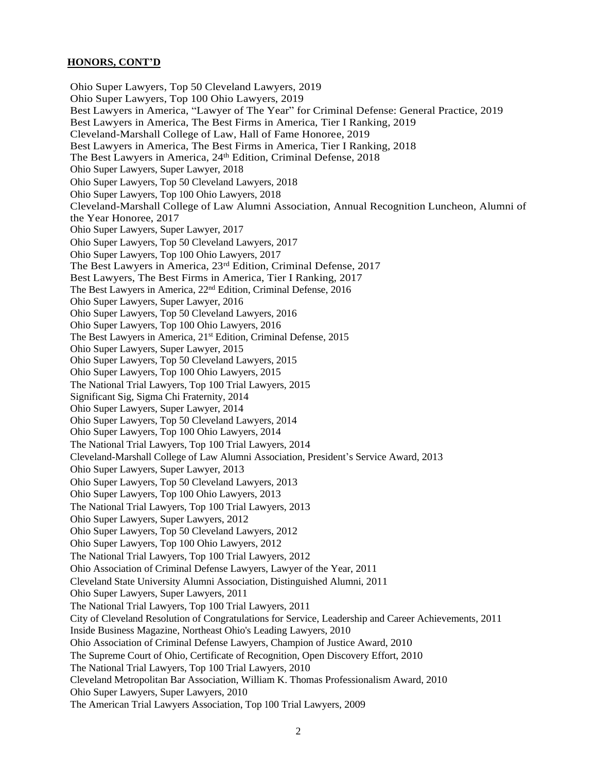## **HONORS, CONT'D**

Ohio Super Lawyers, Top 50 Cleveland Lawyers, 2019 Ohio Super Lawyers, Top 100 Ohio Lawyers, 2019 Best Lawyers in America, "Lawyer of The Year" for Criminal Defense: General Practice, 2019 Best Lawyers in America, The Best Firms in America, Tier I Ranking, 2019 Cleveland-Marshall College of Law, Hall of Fame Honoree, 2019 Best Lawyers in America, The Best Firms in America, Tier I Ranking, 2018 The Best Lawyers in America, 24<sup>th</sup> Edition, Criminal Defense, 2018 Ohio Super Lawyers, Super Lawyer, 2018 Ohio Super Lawyers, Top 50 Cleveland Lawyers, 2018 Ohio Super Lawyers, Top 100 Ohio Lawyers, 2018 Cleveland-Marshall College of Law Alumni Association, Annual Recognition Luncheon, Alumni of the Year Honoree, 2017 Ohio Super Lawyers, Super Lawyer, 2017 Ohio Super Lawyers, Top 50 Cleveland Lawyers, 2017 Ohio Super Lawyers, Top 100 Ohio Lawyers, 2017 The Best Lawyers in America, 23rd Edition, Criminal Defense, 2017 Best Lawyers, The Best Firms in America, Tier I Ranking, 2017 The Best Lawyers in America, 22nd Edition, Criminal Defense, 2016 Ohio Super Lawyers, Super Lawyer, 2016 Ohio Super Lawyers, Top 50 Cleveland Lawyers, 2016 Ohio Super Lawyers, Top 100 Ohio Lawyers, 2016 The Best Lawyers in America, 21st Edition, Criminal Defense, 2015 Ohio Super Lawyers, Super Lawyer, 2015 Ohio Super Lawyers, Top 50 Cleveland Lawyers, 2015 Ohio Super Lawyers, Top 100 Ohio Lawyers, 2015 The National Trial Lawyers, Top 100 Trial Lawyers, 2015 Significant Sig, Sigma Chi Fraternity, 2014 Ohio Super Lawyers, Super Lawyer, 2014 Ohio Super Lawyers, Top 50 Cleveland Lawyers, 2014 Ohio Super Lawyers, Top 100 Ohio Lawyers, 2014 The National Trial Lawyers, Top 100 Trial Lawyers, 2014 Cleveland-Marshall College of Law Alumni Association, President's Service Award, 2013 Ohio Super Lawyers, Super Lawyer, 2013 Ohio Super Lawyers, Top 50 Cleveland Lawyers, 2013 Ohio Super Lawyers, Top 100 Ohio Lawyers, 2013 The National Trial Lawyers, Top 100 Trial Lawyers, 2013 Ohio Super Lawyers, Super Lawyers, 2012 Ohio Super Lawyers, Top 50 Cleveland Lawyers, 2012 Ohio Super Lawyers, Top 100 Ohio Lawyers, 2012 The National Trial Lawyers, Top 100 Trial Lawyers, 2012 Ohio Association of Criminal Defense Lawyers, Lawyer of the Year, 2011 Cleveland State University Alumni Association, Distinguished Alumni, 2011 Ohio Super Lawyers, Super Lawyers, 2011 The National Trial Lawyers, Top 100 Trial Lawyers, 2011 City of Cleveland Resolution of Congratulations for Service, Leadership and Career Achievements, 2011 Inside Business Magazine, Northeast Ohio's Leading Lawyers, 2010 Ohio Association of Criminal Defense Lawyers, Champion of Justice Award, 2010 The Supreme Court of Ohio, Certificate of Recognition, Open Discovery Effort, 2010 The National Trial Lawyers, Top 100 Trial Lawyers, 2010 Cleveland Metropolitan Bar Association, William K. Thomas Professionalism Award, 2010 Ohio Super Lawyers, Super Lawyers, 2010 The American Trial Lawyers Association, Top 100 Trial Lawyers, 2009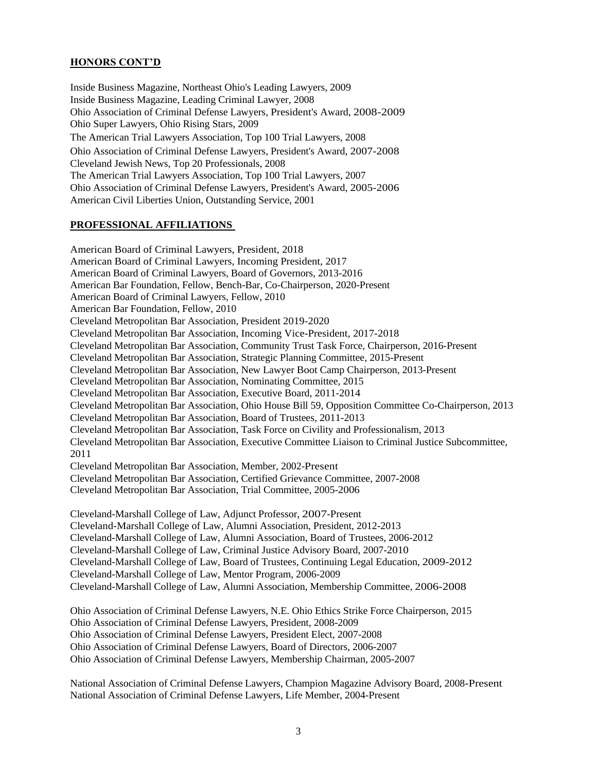## **HONORS CONT'D**

Inside Business Magazine, Northeast Ohio's Leading Lawyers, 2009 Inside Business Magazine, Leading Criminal Lawyer, 2008 Ohio Association of Criminal Defense Lawyers, President's Award, 2008-2009 Ohio Super Lawyers, Ohio Rising Stars, 2009 The American Trial Lawyers Association, Top 100 Trial Lawyers, 2008 Ohio Association of Criminal Defense Lawyers, President's Award, 2007-2008 Cleveland Jewish News, Top 20 Professionals, 2008 The American Trial Lawyers Association, Top 100 Trial Lawyers, 2007 Ohio Association of Criminal Defense Lawyers, President's Award, 2005-2006 American Civil Liberties Union, Outstanding Service, 2001

# **PROFESSIONAL AFFILIATIONS**

American Board of Criminal Lawyers, President, 2018 American Board of Criminal Lawyers, Incoming President, 2017 American Board of Criminal Lawyers, Board of Governors, 2013-2016 American Bar Foundation, Fellow, Bench-Bar, Co-Chairperson, 2020-Present American Board of Criminal Lawyers, Fellow, 2010 American Bar Foundation, Fellow, 2010 Cleveland Metropolitan Bar Association, President 2019-2020 Cleveland Metropolitan Bar Association, Incoming Vice-President, 2017-2018 Cleveland Metropolitan Bar Association, Community Trust Task Force, Chairperson, 2016-Present Cleveland Metropolitan Bar Association, Strategic Planning Committee, 2015-Present Cleveland Metropolitan Bar Association, New Lawyer Boot Camp Chairperson, 2013-Present Cleveland Metropolitan Bar Association, Nominating Committee, 2015 Cleveland Metropolitan Bar Association, Executive Board, 2011-2014 Cleveland Metropolitan Bar Association, Ohio House Bill 59, Opposition Committee Co-Chairperson, 2013 Cleveland Metropolitan Bar Association, Board of Trustees, 2011-2013 Cleveland Metropolitan Bar Association, Task Force on Civility and Professionalism, 2013 Cleveland Metropolitan Bar Association, Executive Committee Liaison to Criminal Justice Subcommittee, 2011 Cleveland Metropolitan Bar Association, Member, 2002-Present Cleveland Metropolitan Bar Association, Certified Grievance Committee, 2007-2008 Cleveland Metropolitan Bar Association, Trial Committee, 2005-2006 Cleveland-Marshall College of Law, Adjunct Professor, 2007-Present Cleveland-Marshall College of Law, Alumni Association, President, 2012-2013 Cleveland-Marshall College of Law, Alumni Association, Board of Trustees, 2006-2012 Cleveland-Marshall College of Law, Criminal Justice Advisory Board, 2007-2010 Cleveland-Marshall College of Law, Board of Trustees, Continuing Legal Education, 2009-2012 Cleveland-Marshall College of Law, Mentor Program, 2006-2009 Cleveland-Marshall College of Law, Alumni Association, Membership Committee, 2006-2008 Ohio Association of Criminal Defense Lawyers, N.E. Ohio Ethics Strike Force Chairperson, 2015 Ohio Association of Criminal Defense Lawyers, President, 2008-2009 Ohio Association of Criminal Defense Lawyers, President Elect, 2007-2008

Ohio Association of Criminal Defense Lawyers, Board of Directors, 2006-2007

Ohio Association of Criminal Defense Lawyers, Membership Chairman, 2005-2007

National Association of Criminal Defense Lawyers, Champion Magazine Advisory Board, 2008-Present National Association of Criminal Defense Lawyers, Life Member, 2004-Present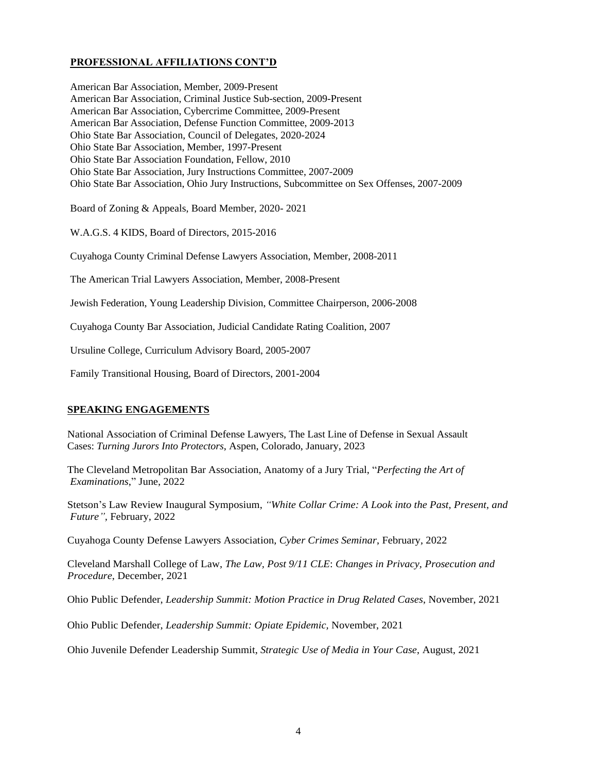# **PROFESSIONAL AFFILIATIONS CONT'D**

American Bar Association, Member, 2009-Present American Bar Association, Criminal Justice Sub-section, 2009-Present American Bar Association, Cybercrime Committee, 2009-Present American Bar Association, Defense Function Committee, 2009-2013 Ohio State Bar Association, Council of Delegates, 2020-2024 Ohio State Bar Association, Member, 1997-Present Ohio State Bar Association Foundation, Fellow, 2010 Ohio State Bar Association, Jury Instructions Committee, 2007-2009 Ohio State Bar Association, Ohio Jury Instructions, Subcommittee on Sex Offenses, 2007-2009

Board of Zoning & Appeals, Board Member, 2020- 2021

W.A.G.S. 4 KIDS, Board of Directors, 2015-2016

Cuyahoga County Criminal Defense Lawyers Association, Member, 2008-2011

The American Trial Lawyers Association, Member, 2008-Present

Jewish Federation, Young Leadership Division, Committee Chairperson, 2006-2008

Cuyahoga County Bar Association, Judicial Candidate Rating Coalition, 2007

Ursuline College, Curriculum Advisory Board, 2005-2007

Family Transitional Housing, Board of Directors, 2001-2004

## **SPEAKING ENGAGEMENTS**

National Association of Criminal Defense Lawyers, The Last Line of Defense in Sexual Assault Cases: *Turning Jurors Into Protectors*, Aspen, Colorado, January, 2023

The Cleveland Metropolitan Bar Association, Anatomy of a Jury Trial, "*Perfecting the Art of Examinations*," June, 2022

Stetson's Law Review Inaugural Symposium, *"White Collar Crime: A Look into the Past, Present, and Future",* February, 2022

Cuyahoga County Defense Lawyers Association, *Cyber Crimes Seminar*, February, 2022

Cleveland Marshall College of Law, *The Law, Post 9/11 CLE*: *Changes in Privacy, Prosecution and Procedure*, December, 2021

Ohio Public Defender, *Leadership Summit: Motion Practice in Drug Related Cases*, November, 2021

Ohio Public Defender, *Leadership Summit: Opiate Epidemic,* November, 2021

Ohio Juvenile Defender Leadership Summit, *Strategic Use of Media in Your Case*, August, 2021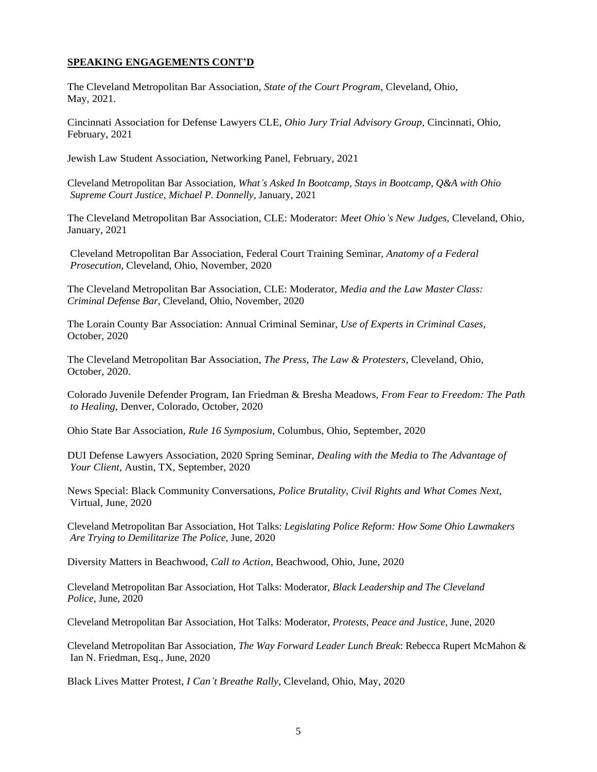The Cleveland Metropolitan Bar Association, *State of the Court Program*, Cleveland, Ohio, May, 2021.

Cincinnati Association for Defense Lawyers CLE, *Ohio Jury Trial Advisory Group*, Cincinnati, Ohio, February, 2021

Jewish Law Student Association, Networking Panel, February, 2021

Cleveland Metropolitan Bar Association, *What's Asked In Bootcamp, Stays in Bootcamp*, *Q&A with Ohio Supreme Court Justice, Michael P. Donnelly*, January, 2021

The Cleveland Metropolitan Bar Association, CLE: Moderator: *Meet Ohio's New Judges,* Cleveland, Ohio, January, 2021

Cleveland Metropolitan Bar Association, Federal Court Training Seminar, *Anatomy of a Federal Prosecution*, Cleveland, Ohio, November, 2020

The Cleveland Metropolitan Bar Association, CLE: Moderator, *Media and the Law Master Class: Criminal Defense Bar,* Cleveland, Ohio, November, 2020

The Lorain County Bar Association: Annual Criminal Seminar, *Use of Experts in Criminal Cases*, October, 2020

The Cleveland Metropolitan Bar Association, *The Press, The Law & Protesters*, Cleveland, Ohio, October, 2020.

Colorado Juvenile Defender Program, Ian Friedman & Bresha Meadows, *From Fear to Freedom: The Path to Healing*, Denver, Colorado, October, 2020

Ohio State Bar Association*, Rule 16 Symposium*, Columbus, Ohio, September, 2020

DUI Defense Lawyers Association, 2020 Spring Seminar, *Dealing with the Media to The Advantage of Your Client*, Austin, TX, September, 2020

News Special: Black Community Conversations, *Police Brutality, Civil Rights and What Comes Next*, Virtual, June, 2020

Cleveland Metropolitan Bar Association, Hot Talks: *Legislating Police Reform: How Some Ohio Lawmakers Are Trying to Demilitarize The Police*, June, 2020

Diversity Matters in Beachwood, *Call to Action,* Beachwood, Ohio, June, 2020

Cleveland Metropolitan Bar Association, Hot Talks: Moderator, *Black Leadership and The Cleveland Police*, June, 2020

Cleveland Metropolitan Bar Association, Hot Talks: Moderator, *Protests, Peace and Justice,* June, 2020

Cleveland Metropolitan Bar Association, *The Way Forward Leader Lunch Break*: Rebecca Rupert McMahon & Ian N. Friedman, Esq., June, 2020

Black Lives Matter Protest, *I Can't Breathe Rally*, Cleveland, Ohio, May, 2020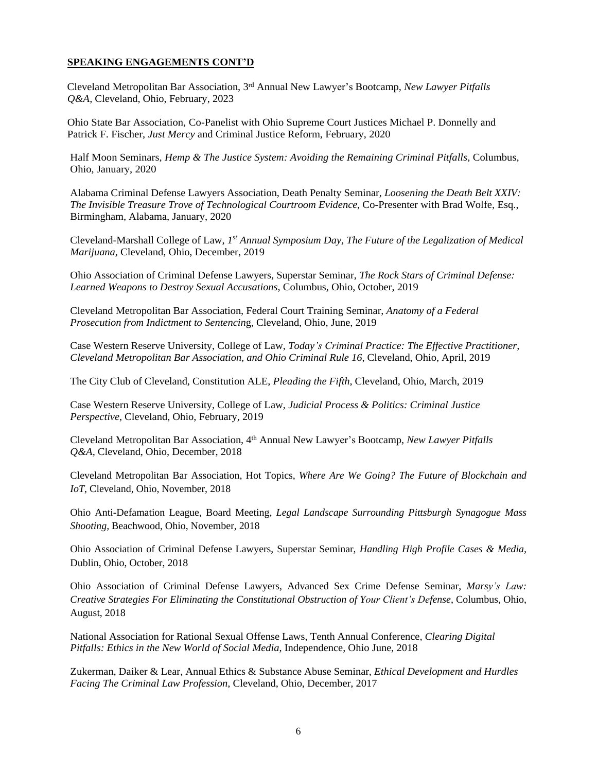Cleveland Metropolitan Bar Association, 3rd Annual New Lawyer's Bootcamp, *New Lawyer Pitfalls Q&A,* Cleveland, Ohio, February, 2023

Ohio State Bar Association, Co-Panelist with Ohio Supreme Court Justices Michael P. Donnelly and Patrick F. Fischer, *Just Mercy* and Criminal Justice Reform, February, 2020

Half Moon Seminars, *Hemp & The Justice System: Avoiding the Remaining Criminal Pitfalls*, Columbus, Ohio, January, 2020

Alabama Criminal Defense Lawyers Association, Death Penalty Seminar, *Loosening the Death Belt XXIV: The Invisible Treasure Trove of Technological Courtroom Evidence*, Co-Presenter with Brad Wolfe, Esq., Birmingham, Alabama, January, 2020

Cleveland-Marshall College of Law, *1 st Annual Symposium Day, The Future of the Legalization of Medical Marijuana*, Cleveland, Ohio, December, 2019

Ohio Association of Criminal Defense Lawyers, Superstar Seminar, *The Rock Stars of Criminal Defense: Learned Weapons to Destroy Sexual Accusations*, Columbus, Ohio, October, 2019

Cleveland Metropolitan Bar Association, Federal Court Training Seminar, *Anatomy of a Federal Prosecution from Indictment to Sentencin*g, Cleveland, Ohio, June, 2019

Case Western Reserve University, College of Law, *Today's Criminal Practice: The Effective Practitioner, Cleveland Metropolitan Bar Association, and Ohio Criminal Rule 16*, Cleveland, Ohio, April, 2019

The City Club of Cleveland, Constitution ALE, *Pleading the Fifth*, Cleveland, Ohio, March, 2019

Case Western Reserve University, College of Law, *Judicial Process & Politics: Criminal Justice Perspective*, Cleveland, Ohio, February, 2019

Cleveland Metropolitan Bar Association, 4th Annual New Lawyer's Bootcamp, *New Lawyer Pitfalls Q&A,* Cleveland, Ohio, December, 2018

Cleveland Metropolitan Bar Association, Hot Topics, *Where Are We Going? The Future of Blockchain and IoT*, Cleveland, Ohio, November, 2018

Ohio Anti-Defamation League, Board Meeting, *Legal Landscape Surrounding Pittsburgh Synagogue Mass Shooting,* Beachwood, Ohio, November, 2018

Ohio Association of Criminal Defense Lawyers, Superstar Seminar, *Handling High Profile Cases & Media,* Dublin, Ohio, October, 2018

Ohio Association of Criminal Defense Lawyers, Advanced Sex Crime Defense Seminar, *Marsy's Law: Creative Strategies For Eliminating the Constitutional Obstruction of Your Client's Defense*, Columbus, Ohio, August, 2018

National Association for Rational Sexual Offense Laws, Tenth Annual Conference, *Clearing Digital Pitfalls: Ethics in the New World of Social Media*, Independence, Ohio June, 2018

Zukerman, Daiker & Lear, Annual Ethics & Substance Abuse Seminar, *Ethical Development and Hurdles Facing The Criminal Law Profession*, Cleveland, Ohio, December, 2017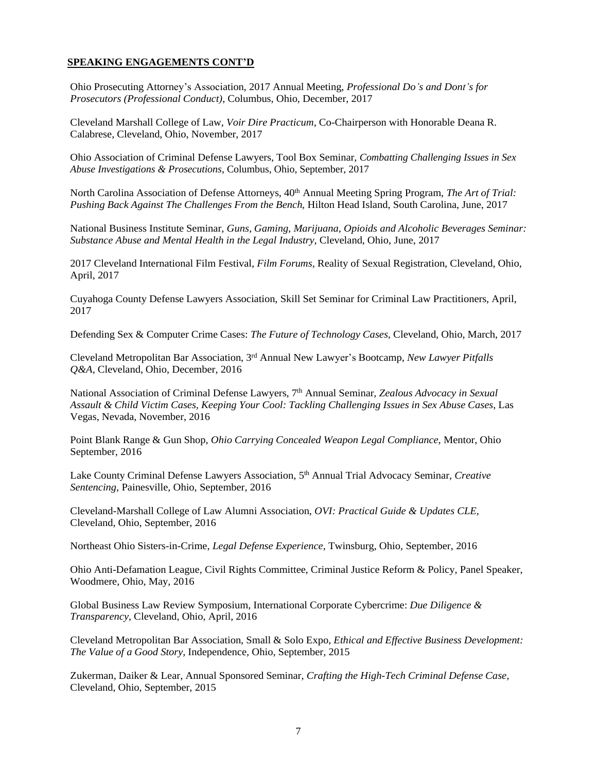Ohio Prosecuting Attorney's Association, 2017 Annual Meeting, *Professional Do's and Dont's for Prosecutors (Professional Conduct)*, Columbus, Ohio, December, 2017

Cleveland Marshall College of Law, *Voir Dire Practicum*, Co-Chairperson with Honorable Deana R. Calabrese, Cleveland, Ohio, November, 2017

Ohio Association of Criminal Defense Lawyers, Tool Box Seminar, *Combatting Challenging Issues in Sex Abuse Investigations & Prosecutions*, Columbus, Ohio, September, 2017

North Carolina Association of Defense Attorneys, 40<sup>th</sup> Annual Meeting Spring Program, *The Art of Trial: Pushing Back Against The Challenges From the Bench,* Hilton Head Island, South Carolina, June, 2017

National Business Institute Seminar, *Guns, Gaming, Marijuana, Opioids and Alcoholic Beverages Seminar: Substance Abuse and Mental Health in the Legal Industry,* Cleveland, Ohio, June, 2017

2017 Cleveland International Film Festival, *Film Forums,* Reality of Sexual Registration, Cleveland, Ohio, April, 2017

Cuyahoga County Defense Lawyers Association, Skill Set Seminar for Criminal Law Practitioners, April, 2017

Defending Sex & Computer Crime Cases: *The Future of Technology Cases,* Cleveland, Ohio, March, 2017

Cleveland Metropolitan Bar Association, 3rd Annual New Lawyer's Bootcamp, *New Lawyer Pitfalls Q&A,* Cleveland, Ohio, December, 2016

National Association of Criminal Defense Lawyers, 7th Annual Seminar*, Zealous Advocacy in Sexual Assault & Child Victim Cases, Keeping Your Cool: Tackling Challenging Issues in Sex Abuse Cases*, Las Vegas, Nevada, November, 2016

Point Blank Range & Gun Shop, *Ohio Carrying Concealed Weapon Legal Compliance*, Mentor, Ohio September, 2016

Lake County Criminal Defense Lawyers Association, 5<sup>th</sup> Annual Trial Advocacy Seminar, *Creative Sentencing*, Painesville, Ohio, September, 2016

Cleveland-Marshall College of Law Alumni Association, *OVI: Practical Guide & Updates CLE*, Cleveland, Ohio, September, 2016

Northeast Ohio Sisters-in-Crime, *Legal Defense Experience*, Twinsburg, Ohio, September, 2016

Ohio Anti-Defamation League, Civil Rights Committee, Criminal Justice Reform & Policy, Panel Speaker, Woodmere, Ohio, May, 2016

Global Business Law Review Symposium, International Corporate Cybercrime: *Due Diligence & Transparency*, Cleveland, Ohio, April, 2016

Cleveland Metropolitan Bar Association, Small & Solo Expo, *Ethical and Effective Business Development: The Value of a Good Story*, Independence, Ohio, September, 2015

Zukerman, Daiker & Lear, Annual Sponsored Seminar, *Crafting the High-Tech Criminal Defense Case,*  Cleveland, Ohio, September, 2015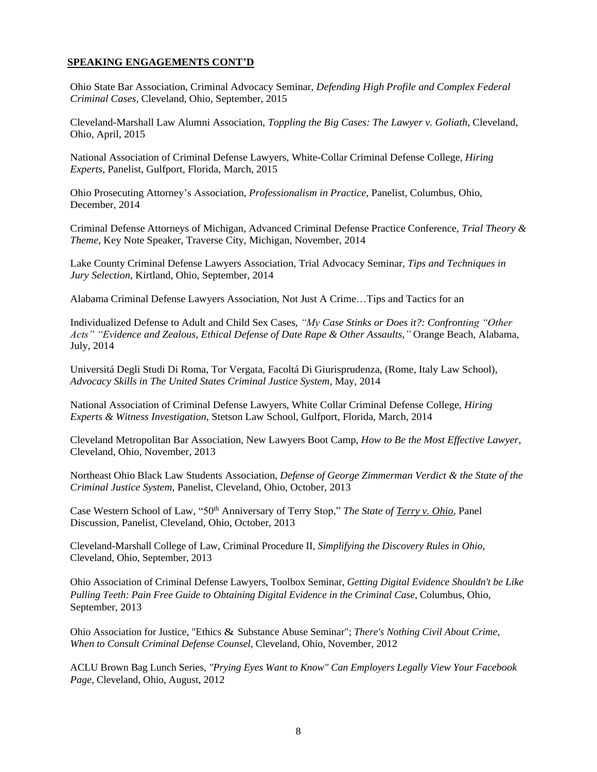Ohio State Bar Association, Criminal Advocacy Seminar, *Defending High Profile and Complex Federal Criminal Cases,* Cleveland, Ohio, September, 2015

Cleveland-Marshall Law Alumni Association, *Toppling the Big Cases: The Lawyer v. Goliath*, Cleveland, Ohio, April, 2015

National Association of Criminal Defense Lawyers, White-Collar Criminal Defense College*, Hiring Experts*, Panelist, Gulfport, Florida, March, 2015

Ohio Prosecuting Attorney's Association, *Professionalism in Practice*, Panelist, Columbus, Ohio, December, 2014

Criminal Defense Attorneys of Michigan, Advanced Criminal Defense Practice Conference, *Trial Theory & Theme*, Key Note Speaker, Traverse City, Michigan, November, 2014

Lake County Criminal Defense Lawyers Association, Trial Advocacy Seminar, *Tips and Techniques in Jury Selection*, Kirtland, Ohio, September, 2014

Alabama Criminal Defense Lawyers Association, Not Just A Crime…Tips and Tactics for an

Individualized Defense to Adult and Child Sex Cases, *"My Case Stinks or Does it?: Confronting "Other Acts" "Evidence and Zealous, Ethical Defense of Date Rape & Other Assaults,"* Orange Beach, Alabama, July, 2014

Universitá Degli Studi Di Roma, Tor Vergata, Facoltá Di Giurisprudenza, (Rome, Italy Law School), *Advocacy Skills in The United States Criminal Justice System*, May, 2014

National Association of Criminal Defense Lawyers, White Collar Criminal Defense College, *Hiring Experts & Witness Investigation*, Stetson Law School, Gulfport, Florida, March, 2014

Cleveland Metropolitan Bar Association, New Lawyers Boot Camp, *How to Be the Most Effective Lawyer*, Cleveland, Ohio, November, 2013

Northeast Ohio Black Law Students Association, *Defense of George Zimmerman Verdict & the State of the Criminal Justice System*, Panelist, Cleveland, Ohio, October, 2013

Case Western School of Law, "50<sup>th</sup> Anniversary of Terry Stop," *The State of Terry v. Ohio*, Panel Discussion, Panelist, Cleveland, Ohio, October, 2013

Cleveland-Marshall College of Law, Criminal Procedure II, *Simplifying the Discovery Rules in Ohio,* Cleveland, Ohio, September, 2013

Ohio Association of Criminal Defense Lawyers, Toolbox Seminar, *Getting Digital Evidence Shouldn't be Like Pulling Teeth: Pain Free Guide to Obtaining Digital Evidence in the Criminal Case*, Columbus, Ohio, September, 2013

Ohio Association for Justice, "Ethics & Substance Abuse Seminar"; *There's Nothing Civil About Crime, When to Consult Criminal Defense Counsel,* Cleveland, Ohio, November, 2012

ACLU Brown Bag Lunch Series, *"Prying Eyes Want to Know" Can Employers Legally View Your Facebook Page,* Cleveland, Ohio, August, 2012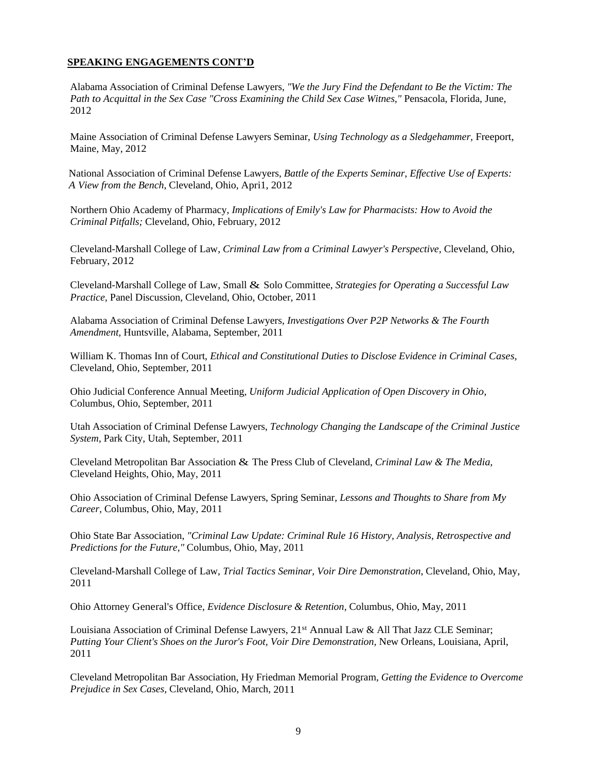Alabama Association of Criminal Defense Lawyers, *"We the Jury Find the Defendant to Be the Victim: The Path to Acquittal in the Sex Case "Cross Examining the Child Sex Case Witnes,"* Pensacola, Florida, June, 2012

Maine Association of Criminal Defense Lawyers Seminar, *Using Technology as a Sledgehammer,* Freeport, Maine, May, 2012

National Association of Criminal Defense Lawyers, *Battle of the Experts Seminar, Effective Use of Experts: A View from the Bench,* Cleveland, Ohio, Apri1, 2012

Northern Ohio Academy of Pharmacy, *Implications of Emily's Law for Pharmacists: How to Avoid the Criminal Pitfalls;* Cleveland, Ohio, February, 2012

Cleveland-Marshall College of Law, *Criminal Law from a Criminal Lawyer's Perspective,* Cleveland, Ohio, February, 2012

Cleveland-Marshall College of Law, Small & Solo Committee, *Strategies for Operating a Successful Law Practice,* Panel Discussion, Cleveland, Ohio, October, 2011

Alabama Association of Criminal Defense Lawyers, *Investigations Over P2P Networks & The Fourth Amendment,* Huntsville, Alabama, September, 2011

William K. Thomas Inn of Court, *Ethical and Constitutional Duties to Disclose Evidence in Criminal Cases,* Cleveland, Ohio, September, 2011

Ohio Judicial Conference Annual Meeting, *Uniform Judicial Application of Open Discovery in Ohio,* Columbus, Ohio, September, 2011

Utah Association of Criminal Defense Lawyers, *Technology Changing the Landscape of the Criminal Justice System,* Park City, Utah, September, 2011

Cleveland Metropolitan Bar Association & The Press Club of Cleveland, *Criminal Law & The Media,* Cleveland Heights, Ohio, May, 2011

Ohio Association of Criminal Defense Lawyers, Spring Seminar, *Lessons and Thoughts to Share from My Career,* Columbus, Ohio, May, 2011

Ohio State Bar Association, *"Criminal Law Update: Criminal Rule 16 History, Analysis, Retrospective and Predictions for the Future,"* Columbus, Ohio, May, 2011

Cleveland-Marshall College of Law, *Trial Tactics Seminar, Voir Dire Demonstration*, Cleveland, Ohio, May, 2011

Ohio Attorney General's Office, *Evidence Disclosure & Retention,* Columbus, Ohio, May, 2011

Louisiana Association of Criminal Defense Lawyers, 21<sup>st</sup> Annual Law & All That Jazz CLE Seminar; *Putting Your Client's Shoes on the Juror's Foot, Voir Dire Demonstration,* New Orleans, Louisiana, April, 2011

Cleveland Metropolitan Bar Association, Hy Friedman Memorial Program, *Getting the Evidence to Overcome Prejudice in Sex Cases,* Cleveland, Ohio, March, 2011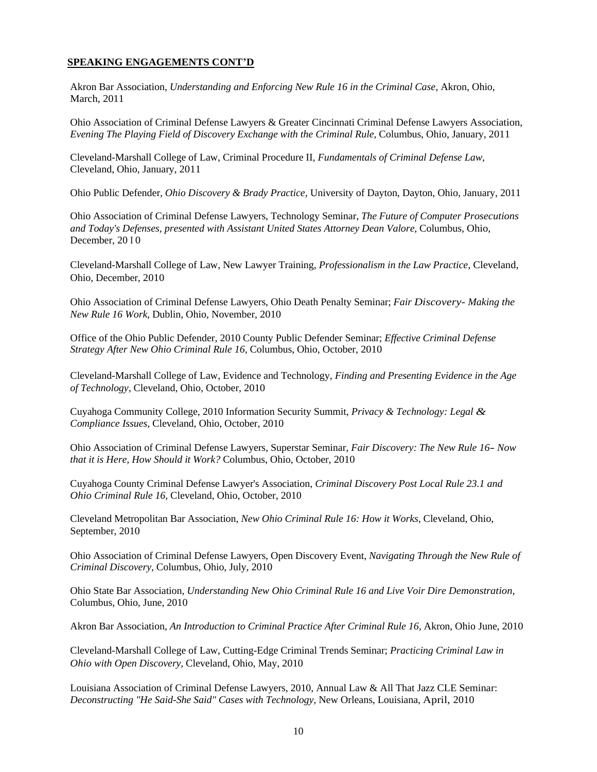Akron Bar Association, *Understanding and Enforcing New Rule 16 in the Criminal Case,* Akron, Ohio, March, 2011

Ohio Association of Criminal Defense Lawyers & Greater Cincinnati Criminal Defense Lawyers Association, *Evening The Playing Field of Discovery Exchange with the Criminal Rule,* Columbus, Ohio, January, 2011

Cleveland-Marshall College of Law, Criminal Procedure II, *Fundamentals of Criminal Defense Law,* Cleveland, Ohio, January, 2011

Ohio Public Defender, *Ohio Discovery & Brady Practice,* University of Dayton, Dayton, Ohio, January, 2011

Ohio Association of Criminal Defense Lawyers, Technology Seminar, *The Future of Computer Prosecutions and Today's Defenses, presented with Assistant United States Attorney Dean Valore,* Columbus, Ohio, December, 2010

Cleveland-Marshall College of Law, New Lawyer Training, *Professionalism in the Law Practice,* Cleveland, Ohio, December, 2010

Ohio Association of Criminal Defense Lawyers, Ohio Death Penalty Seminar; *Fair Discovery- Making the New Rule 16 Work,* Dublin, Ohio, November, 2010

Office of the Ohio Public Defender, 2010 County Public Defender Seminar; *Effective Criminal Defense Strategy After New Ohio Criminal Rule 16,* Columbus, Ohio, October, 2010

Cleveland-Marshall College of Law, Evidence and Technology, *Finding and Presenting Evidence in the Age of Technology,* Cleveland, Ohio, October, 2010

Cuyahoga Community College, 2010 Information Security Summit, *Privacy & Technology: Legal & Compliance Issues,* Cleveland, Ohio, October, 2010

Ohio Association of Criminal Defense Lawyers, Superstar Seminar, *Fair Discovery: The New Rule 16- Now that it is Here, How Should it Work?* Columbus, Ohio, October, 2010

Cuyahoga County Criminal Defense Lawyer's Association, *Criminal Discovery Post Local Rule 23.1 and Ohio Criminal Rule 16,* Cleveland, Ohio, October, 2010

Cleveland Metropolitan Bar Association, *New Ohio Criminal Rule 16: How it Works,* Cleveland, Ohio, September, 2010

Ohio Association of Criminal Defense Lawyers, Open Discovery Event, *Navigating Through the New Rule of Criminal Discovery,* Columbus, Ohio, July, 2010

Ohio State Bar Association, *Understanding New Ohio Criminal Rule 16 and Live Voir Dire Demonstration,* Columbus, Ohio, June, 2010

Akron Bar Association, *An Introduction to Criminal Practice After Criminal Rule 16,* Akron, Ohio June, 2010

Cleveland-Marshall College of Law, Cutting-Edge Criminal Trends Seminar; *Practicing Criminal Law in Ohio with Open Discovery,* Cleveland, Ohio, May, 2010

Louisiana Association of Criminal Defense Lawyers, 2010, Annual Law & All That Jazz CLE Seminar: *Deconstructing "He Said-She Said" Cases with Technology,* New Orleans, Louisiana, April, 2010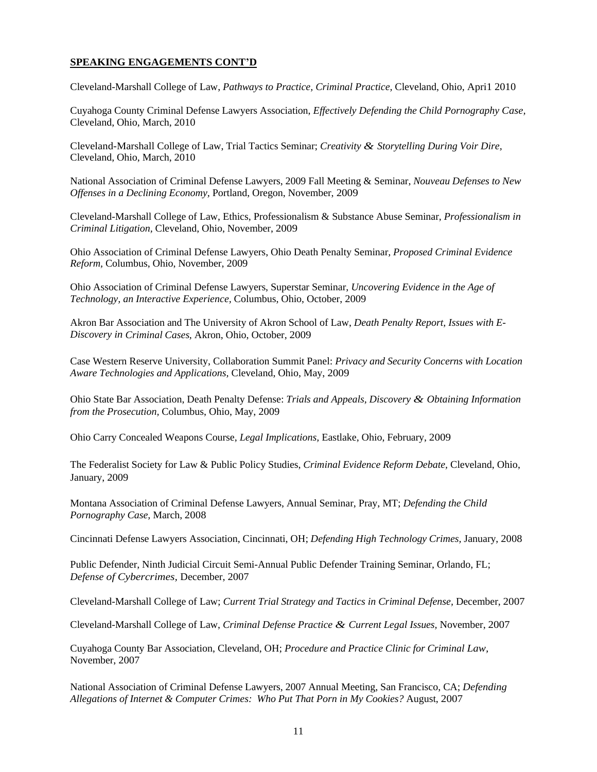Cleveland-Marshall College of Law, *Pathways to Practice, Criminal Practice,* Cleveland, Ohio, Apri1 2010

Cuyahoga County Criminal Defense Lawyers Association, *Effectively Defending the Child Pornography Case,* Cleveland, Ohio, March, 2010

Cleveland-Marshall College of Law, Trial Tactics Seminar; *Creativity & Storytelling During Voir Dire,* Cleveland, Ohio, March, 2010

National Association of Criminal Defense Lawyers, 2009 Fall Meeting & Seminar, *Nouveau Defenses to New Offenses in a Declining Economy,* Portland, Oregon, November, 2009

Cleveland-Marshall College of Law, Ethics, Professionalism & Substance Abuse Seminar, *Professionalism in Criminal Litigation,* Cleveland, Ohio, November, 2009

Ohio Association of Criminal Defense Lawyers, Ohio Death Penalty Seminar*, Proposed Criminal Evidence Reform,* Columbus, Ohio, November, 2009

Ohio Association of Criminal Defense Lawyers, Superstar Seminar, *Uncovering Evidence in the Age of Technology, an Interactive Experience,* Columbus, Ohio, October, 2009

Akron Bar Association and The University of Akron School of Law, *Death Penalty Report, Issues with E-Discovery in Criminal Cases,* Akron, Ohio, October, 2009

Case Western Reserve University, Collaboration Summit Panel: *Privacy and Security Concerns with Location Aware Technologies and Applications,* Cleveland, Ohio, May, 2009

Ohio State Bar Association, Death Penalty Defense: *Trials and Appeals, Discovery & Obtaining Information from the Prosecution,* Columbus, Ohio, May, 2009

Ohio Carry Concealed Weapons Course, *Legal Implications,* Eastlake, Ohio, February, 2009

The Federalist Society for Law & Public Policy Studies, *Criminal Evidence Reform Debate,* Cleveland, Ohio, January, 2009

Montana Association of Criminal Defense Lawyers, Annual Seminar, Pray, MT; *Defending the Child Pornography Case,* March, 2008

Cincinnati Defense Lawyers Association, Cincinnati, OH; *Defending High Technology Crimes,* January, 2008

Public Defender, Ninth Judicial Circuit Semi-Annual Public Defender Training Seminar, Orlando, FL; *Defense of Cybercrimes,* December, 2007

Cleveland-Marshall College of Law; *Current Trial Strategy and Tactics in Criminal Defense,* December, 2007

Cleveland-Marshall College of Law, *Criminal Defense Practice & Current Legal Issues,* November, 2007

Cuyahoga County Bar Association, Cleveland, OH; *Procedure and Practice Clinic for Criminal Law,* November, 2007

National Association of Criminal Defense Lawyers, 2007 Annual Meeting, San Francisco, CA; *Defending Allegations of Internet & Computer Crimes: Who Put That Porn in My Cookies?* August, 2007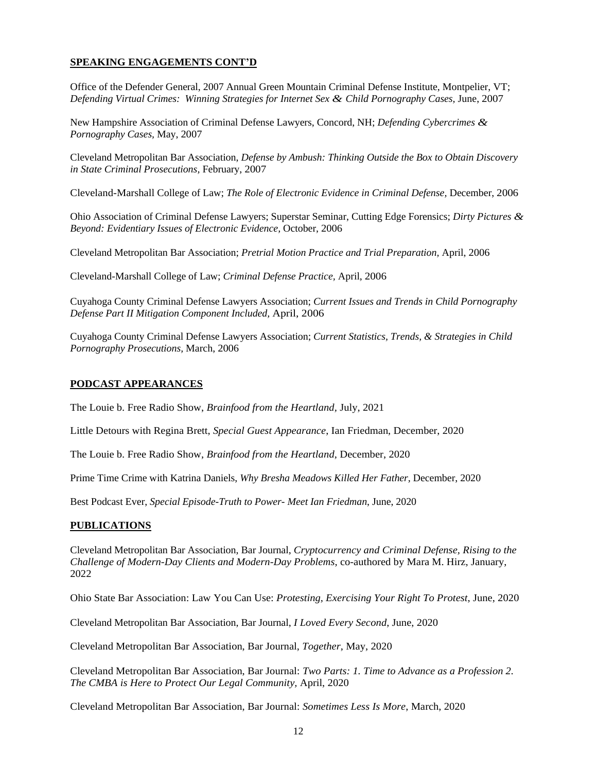Office of the Defender General, 2007 Annual Green Mountain Criminal Defense Institute, Montpelier, VT; *Defending Virtual Crimes: Winning Strategies for Internet Sex & Child Pornography Cases,* June, 2007

New Hampshire Association of Criminal Defense Lawyers, Concord, NH; *Defending Cybercrimes & Pornography Cases,* May, 2007

Cleveland Metropolitan Bar Association, *Defense by Ambush: Thinking Outside the Box to Obtain Discovery in State Criminal Prosecutions,* February, 2007

Cleveland-Marshall College of Law; *The Role of Electronic Evidence in Criminal Defense,* December, 2006

Ohio Association of Criminal Defense Lawyers; Superstar Seminar, Cutting Edge Forensics; *Dirty Pictures & Beyond: Evidentiary Issues of Electronic Evidence,* October, 2006

Cleveland Metropolitan Bar Association; *Pretrial Motion Practice and Trial Preparation,* April, 2006

Cleveland-Marshall College of Law; *Criminal Defense Practice,* April, 2006

Cuyahoga County Criminal Defense Lawyers Association; *Current Issues and Trends in Child Pornography Defense Part II Mitigation Component Included,* April, 2006

Cuyahoga County Criminal Defense Lawyers Association; *Current Statistics, Trends, & Strategies in Child Pornography Prosecutions,* March, 2006

#### **PODCAST APPEARANCES**

The Louie b. Free Radio Show, *Brainfood from the Heartland,* July, 2021

Little Detours with Regina Brett, *Special Guest Appearance*, Ian Friedman, December, 2020

The Louie b. Free Radio Show, *Brainfood from the Heartland*, December, 2020

Prime Time Crime with Katrina Daniels, *Why Bresha Meadows Killed Her Father,* December, 2020

Best Podcast Ever, *Special Episode-Truth to Power- Meet Ian Friedman*, June, 2020

## **PUBLICATIONS**

Cleveland Metropolitan Bar Association, Bar Journal, *Cryptocurrency and Criminal Defense, Rising to the Challenge of Modern-Day Clients and Modern-Day Problems*, co-authored by Mara M. Hirz, January, 2022

Ohio State Bar Association: Law You Can Use: *Protesting, Exercising Your Right To Protest*, June, 2020

Cleveland Metropolitan Bar Association, Bar Journal, *I Loved Every Second*, June, 2020

Cleveland Metropolitan Bar Association, Bar Journal, *Together*, May, 2020

Cleveland Metropolitan Bar Association, Bar Journal: *Two Parts: 1. Time to Advance as a Profession 2. The CMBA is Here to Protect Our Legal Community,* April, 2020

Cleveland Metropolitan Bar Association, Bar Journal: *Sometimes Less Is More*, March, 2020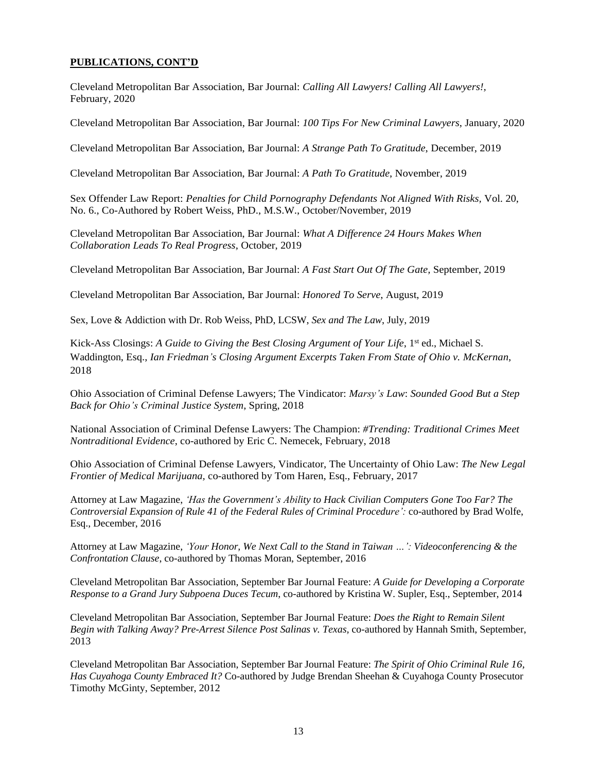## **PUBLICATIONS, CONT'D**

Cleveland Metropolitan Bar Association, Bar Journal: *Calling All Lawyers! Calling All Lawyers!,* February, 2020

Cleveland Metropolitan Bar Association, Bar Journal: *100 Tips For New Criminal Lawyers*, January, 2020

Cleveland Metropolitan Bar Association, Bar Journal: *A Strange Path To Gratitude*, December, 2019

Cleveland Metropolitan Bar Association, Bar Journal: *A Path To Gratitude*, November, 2019

Sex Offender Law Report: *Penalties for Child Pornography Defendants Not Aligned With Risks,* Vol. 20, No. 6., Co-Authored by Robert Weiss, PhD., M.S.W., October/November, 2019

Cleveland Metropolitan Bar Association, Bar Journal: *What A Difference 24 Hours Makes When Collaboration Leads To Real Progress*, October, 2019

Cleveland Metropolitan Bar Association, Bar Journal: *A Fast Start Out Of The Gate,* September, 2019

Cleveland Metropolitan Bar Association, Bar Journal: *Honored To Serve*, August, 2019

Sex, Love & Addiction with Dr. Rob Weiss, PhD, LCSW, *Sex and The Law*, July, 2019

Kick-Ass Closings: *A Guide to Giving the Best Closing Argument of Your Life*, 1 st ed., Michael S. Waddington, Esq., *Ian Friedman's Closing Argument Excerpts Taken From State of Ohio v. McKernan*, 2018

Ohio Association of Criminal Defense Lawyers; The Vindicator: *Marsy's Law*: *Sounded Good But a Step Back for Ohio's Criminal Justice System*, Spring, 2018

National Association of Criminal Defense Lawyers: The Champion: *#Trending: Traditional Crimes Meet Nontraditional Evidence*, co-authored by Eric C. Nemecek, February, 2018

Ohio Association of Criminal Defense Lawyers, Vindicator, The Uncertainty of Ohio Law: *The New Legal Frontier of Medical Marijuana,* co-authored by Tom Haren, Esq., February, 2017

Attorney at Law Magazine, *'Has the Government's Ability to Hack Civilian Computers Gone Too Far? The Controversial Expansion of Rule 41 of the Federal Rules of Criminal Procedure':* co-authored by Brad Wolfe, Esq., December, 2016

Attorney at Law Magazine, *'Your Honor, We Next Call to the Stand in Taiwan …': Videoconferencing & the Confrontation Clause*, co-authored by Thomas Moran, September, 2016

Cleveland Metropolitan Bar Association, September Bar Journal Feature: *A Guide for Developing a Corporate Response to a Grand Jury Subpoena Duces Tecum*, co-authored by Kristina W. Supler, Esq., September, 2014

Cleveland Metropolitan Bar Association, September Bar Journal Feature: *Does the Right to Remain Silent Begin with Talking Away? Pre-Arrest Silence Post Salinas v. Texas,* co-authored by Hannah Smith, September, 2013

Cleveland Metropolitan Bar Association, September Bar Journal Feature: *The Spirit of Ohio Criminal Rule 16, Has Cuyahoga County Embraced It?* Co-authored by Judge Brendan Sheehan & Cuyahoga County Prosecutor Timothy McGinty, September, 2012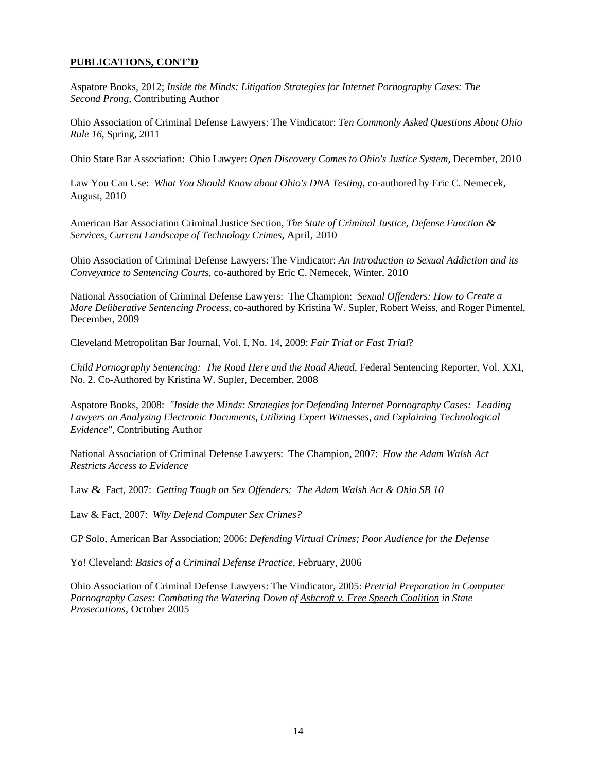## **PUBLICATIONS, CONT'D**

Aspatore Books, 2012; *Inside the Minds: Litigation Strategies for Internet Pornography Cases: The Second Prong,* Contributing Author

Ohio Association of Criminal Defense Lawyers: The Vindicator: *Ten Commonly Asked Questions About Ohio Rule 16*, Spring, 2011

Ohio State Bar Association: Ohio Lawyer: *Open Discovery Comes to Ohio's Justice System*, December, 2010

Law You Can Use: *What You Should Know about Ohio's DNA Testing*, co-authored by Eric C. Nemecek, August, 2010

American Bar Association Criminal Justice Section, *The State of Criminal Justice, Defense Function & Services*, *Current Landscape of Technology Crimes*, April, 2010

Ohio Association of Criminal Defense Lawyers: The Vindicator: *An Introduction to Sexual Addiction and its Conveyance to Sentencing Courts*, co-authored by Eric C. Nemecek, Winter, 2010

National Association of Criminal Defense Lawyers: The Champion: *Sexual Offenders: How to Create a More Deliberative Sentencing Process*, co-authored by Kristina W. Supler, Robert Weiss, and Roger Pimentel, December, 2009

Cleveland Metropolitan Bar Journal, Vol. I, No. 14, 2009: *Fair Trial or Fast Trial*?

*Child Pornography Sentencing: The Road Here and the Road Ahead*, Federal Sentencing Reporter, Vol. XXI, No. 2. Co-Authored by Kristina W. Supler, December, 2008

Aspatore Books, 2008: *"Inside the Minds: Strategies for Defending Internet Pornography Cases: Leading Lawyers on Analyzing Electronic Documents, Utilizing Expert Witnesses, and Explaining Technological Evidence"*, Contributing Author

National Association of Criminal Defense Lawyers: The Champion, 2007: *How the Adam Walsh Act Restricts Access to Evidence*

Law & Fact, 2007: *Getting Tough on Sex Offenders: The Adam Walsh Act & Ohio SB 10*

Law & Fact, 2007: *Why Defend Computer Sex Crimes?*

GP Solo, American Bar Association; 2006: *Defending Virtual Crimes; Poor Audience for the Defense*

Yo! Cleveland: *Basics of a Criminal Defense Practice,* February, 2006

Ohio Association of Criminal Defense Lawyers: The Vindicator, 2005: *Pretrial Preparation in Computer Pornography Cases: Combating the Watering Down of Ashcroft v. Free Speech Coalition in State Prosecutions*, October 2005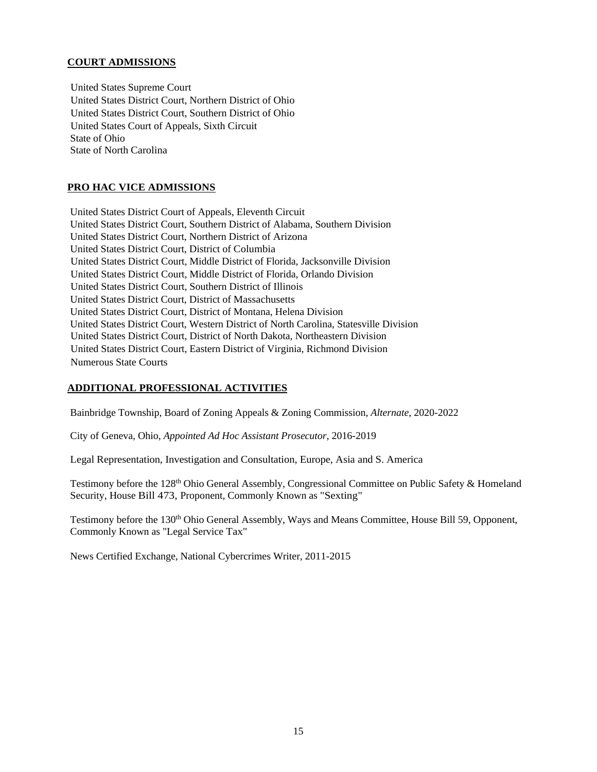## **COURT ADMISSIONS**

United States Supreme Court United States District Court, Northern District of Ohio United States District Court, Southern District of Ohio United States Court of Appeals, Sixth Circuit State of Ohio State of North Carolina

## **PRO HAC VICE ADMISSIONS**

United States District Court of Appeals, Eleventh Circuit United States District Court, Southern District of Alabama, Southern Division United States District Court, Northern District of Arizona United States District Court, District of Columbia United States District Court, Middle District of Florida, Jacksonville Division United States District Court, Middle District of Florida, Orlando Division United States District Court, Southern District of Illinois United States District Court, District of Massachusetts United States District Court, District of Montana, Helena Division United States District Court, Western District of North Carolina, Statesville Division United States District Court, District of North Dakota, Northeastern Division United States District Court, Eastern District of Virginia, Richmond Division Numerous State Courts

# **ADDITIONAL PROFESSIONAL ACTIVITIES**

Bainbridge Township, Board of Zoning Appeals & Zoning Commission, *Alternate*, 2020-2022

City of Geneva, Ohio, *Appointed Ad Hoc Assistant Prosecutor*, 2016-2019

Legal Representation, Investigation and Consultation, Europe, Asia and S. America

Testimony before the 128<sup>th</sup> Ohio General Assembly, Congressional Committee on Public Safety & Homeland Security, House Bill 473, Proponent, Commonly Known as "Sexting"

Testimony before the 130<sup>th</sup> Ohio General Assembly, Ways and Means Committee, House Bill 59, Opponent, Commonly Known as "Legal Service Tax"

News Certified Exchange, National Cybercrimes Writer, 2011-2015